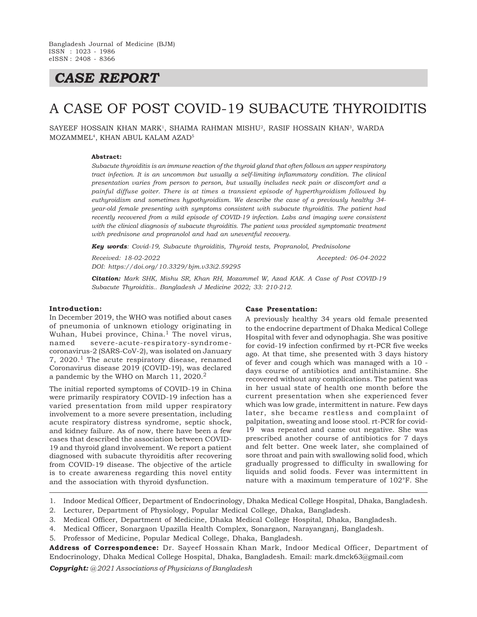# *CASE REPORT*

# A CASE OF POST COVID-19 SUBACUTE THYROIDITIS

SAYEEF HOSSAIN KHAN MARK<sup>1</sup>, SHAIMA RAHMAN MISHU<sup>2</sup>, RASIF HOSSAIN KHAN<sup>3</sup>, WARDA MOZAMMEL<sup>4</sup> , KHAN ABUL KALAM AZAD<sup>5</sup>

#### **Abstract:**

*Subacute thyroiditis is an immune reaction of the thyroid gland that often follows an upper respiratory tract infection. It is an uncommon but usually a self-limiting inflammatory condition. The clinical presentation varies from person to person, but usually includes neck pain or discomfort and a painful diffuse goiter. There is at times a transient episode of hyperthyroidism followed by euthyroidism and sometimes hypothyroidism. We describe the case of a previously healthy 34 year-old female presenting with symptoms consistent with subacute thyroiditis. The patient had recently recovered from a mild episode of COVID-19 infection. Labs and imaging were consistent with the clinical diagnosis of subacute thyroiditis. The patient was provided symptomatic treatment with prednisone and propranolol and had an uneventful recovery.*

*Key words: Covid-19, Subacute thyroiditis, Thyroid tests, Propranolol, Prednisolone*

*Received: 18-02-2022 Accepted: 06-04-2022 DOI: https://doi.org/10.3329/bjm.v33i2.59295*

*Citation: Mark SHK, Mishu SR, Khan RH, Mozammel W, Azad KAK. A Case of Post COVID-19 Subacute Thyroiditis.. Bangladesh J Medicine 2022; 33: 210-212.*

#### **Introduction:**

In December 2019, the WHO was notified about cases of pneumonia of unknown etiology originating in Wuhan, Hubei province, China.<sup>1</sup> The novel virus, named severe-acute-respiratory-syndromecoronavirus-2 (SARS-CoV-2), was isolated on January 7,  $2020$ .<sup>1</sup> The acute respiratory disease, renamed Coronavirus disease 2019 (COVID-19), was declared a pandemic by the WHO on March 11, 2020.<sup>2</sup>

The initial reported symptoms of COVID-19 in China were primarily respiratory COVID-19 infection has a varied presentation from mild upper respiratory involvement to a more severe presentation, including acute respiratory distress syndrome, septic shock, and kidney failure. As of now, there have been a few cases that described the association between COVID-19 and thyroid gland involvement. We report a patient diagnosed with subacute thyroiditis after recovering from COVID-19 disease. The objective of the article is to create awareness regarding this novel entity and the association with thyroid dysfunction.

#### **Case Presentation:**

A previously healthy 34 years old female presented to the endocrine department of Dhaka Medical College Hospital with fever and odynophagia. She was positive for covid-19 infection confirmed by rt-PCR five weeks ago. At that time, she presented with 3 days history of fever and cough which was managed with a 10 days course of antibiotics and antihistamine. She recovered without any complications. The patient was in her usual state of health one month before the current presentation when she experienced fever which was low grade, intermittent in nature. Few days later, she became restless and complaint of palpitation, sweating and loose stool. rt-PCR for covid-19 was repeated and came out negative. She was prescribed another course of antibiotics for 7 days and felt better. One week later, she complained of sore throat and pain with swallowing solid food, which gradually progressed to difficulty in swallowing for liquids and solid foods. Fever was intermittent in nature with a maximum temperature of 102°F. She

1. Indoor Medical Officer, Department of Endocrinology, Dhaka Medical College Hospital, Dhaka, Bangladesh.

- 2. Lecturer, Department of Physiology, Popular Medical College, Dhaka, Bangladesh.
- 3. Medical Officer, Department of Medicine, Dhaka Medical College Hospital, Dhaka, Bangladesh.
- 4. Medical Officer, Sonargaon Upazilla Health Complex, Sonargaon, Narayanganj, Bangladesh.
- 5. Professor of Medicine, Popular Medical College, Dhaka, Bangladesh.

**Address of Correspondence:** Dr. Sayeef Hossain Khan Mark, Indoor Medical Officer, Department of Endocrinology, Dhaka Medical College Hospital, Dhaka, Bangladesh. Email: mark.dmck63@gmail.com

*Copyright: @ 2021 Associations of Physicians of Bangladesh*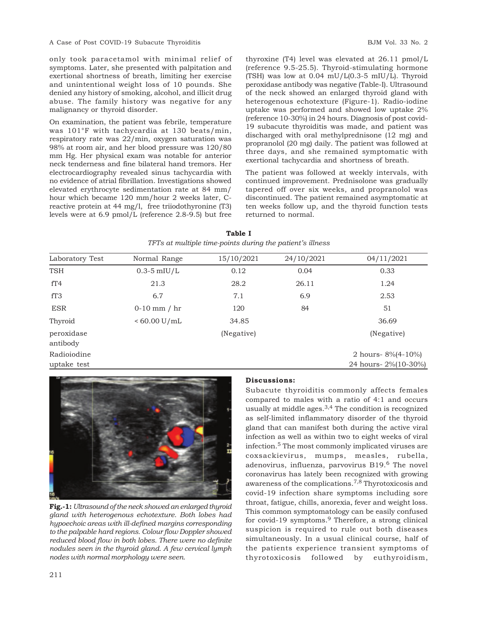only took paracetamol with minimal relief of symptoms. Later, she presented with palpitation and exertional shortness of breath, limiting her exercise and unintentional weight loss of 10 pounds. She denied any history of smoking, alcohol, and illicit drug abuse. The family history was negative for any malignancy or thyroid disorder.

On examination, the patient was febrile, temperature was 101°F with tachycardia at 130 beats/min, respiratory rate was 22/min, oxygen saturation was 98% at room air, and her blood pressure was 120/80 mm Hg. Her physical exam was notable for anterior neck tenderness and fine bilateral hand tremors. Her electrocardiography revealed sinus tachycardia with no evidence of atrial fibrillation. Investigations showed elevated erythrocyte sedimentation rate at 84 mm/ hour which became 120 mm/hour 2 weeks later, Creactive protein at 44 mg/l, free triiodothyronine (T3) levels were at 6.9 pmol/L (reference 2.8-9.5) but free

thyroxine (T4) level was elevated at 26.11 pmol/L (reference 9.5-25.5). Thyroid-stimulating hormone (TSH) was low at  $0.04$  mU/L $(0.3-5$  mIU/L). Thyroid peroxidase antibody was negative (Table-I). Ultrasound of the neck showed an enlarged thyroid gland with heterogenous echotexture (Figure-1). Radio-iodine uptake was performed and showed low uptake 2% (reference 10-30%) in 24 hours. Diagnosis of post covid-19 subacute thyroiditis was made, and patient was discharged with oral methylprednisone (12 mg) and propranolol (20 mg) daily. The patient was followed at three days, and she remained symptomatic with exertional tachycardia and shortness of breath.

The patient was followed at weekly intervals, with continued improvement. Prednisolone was gradually tapered off over six weeks, and propranolol was discontinued. The patient remained asymptomatic at ten weeks follow up, and the thyroid function tests returned to normal.

| Laboratory Test        | Normal Range     | 15/10/2021 | 24/10/2021 | 04/11/2021             |
|------------------------|------------------|------------|------------|------------------------|
| <b>TSH</b>             | $0.3 - 5$ mIU/L  | 0.12       | 0.04       | 0.33                   |
| fT4                    | 21.3             | 28.2       | 26.11      | 1.24                   |
| fT3                    | 6.7              | 7.1        | 6.9        | 2.53                   |
| <b>ESR</b>             | $0-10$ mm $/$ hr | 120        | 84         | 51                     |
| Thyroid                | $< 60.00$ U/mL   | 34.85      |            | 36.69                  |
| peroxidase<br>antibody |                  | (Negative) |            | (Negative)             |
| Radioiodine            |                  |            |            | 2 hours- $8\%/4-10\%)$ |
| uptake test            |                  |            |            | 24 hours- 2%(10-30%)   |

**Table I** *TFTs at multiple time-points during the patient's illness*



**Fig.-1:** *Ultrasound of the neck showed an enlarged thyroid gland with heterogenous echotexture. Both lobes had hypoechoic areas with ill-defined margins corresponding to the palpable hard regions. Colour flow Doppler showed reduced blood flow in both lobes. There were no definite nodules seen in the thyroid gland. A few cervical lymph nodes with normal morphology were seen.*

#### **Discussions:**

Subacute thyroiditis commonly affects females compared to males with a ratio of 4:1 and occurs usually at middle ages. $3,4$  The condition is recognized as self-limited inflammatory disorder of the thyroid gland that can manifest both during the active viral infection as well as within two to eight weeks of viral infection.5 The most commonly implicated viruses are coxsackievirus, mumps, measles, rubella, adenovirus, influenza, parvovirus B19.6 The novel coronavirus has lately been recognized with growing awareness of the complications.7,8 Thyrotoxicosis and covid-19 infection share symptoms including sore throat, fatigue, chills, anorexia, fever and weight loss. This common symptomatology can be easily confused for covid-19 symptoms. $9$  Therefore, a strong clinical suspicion is required to rule out both diseases simultaneously. In a usual clinical course, half of the patients experience transient symptoms of thyrotoxicosis followed by euthyroidism,